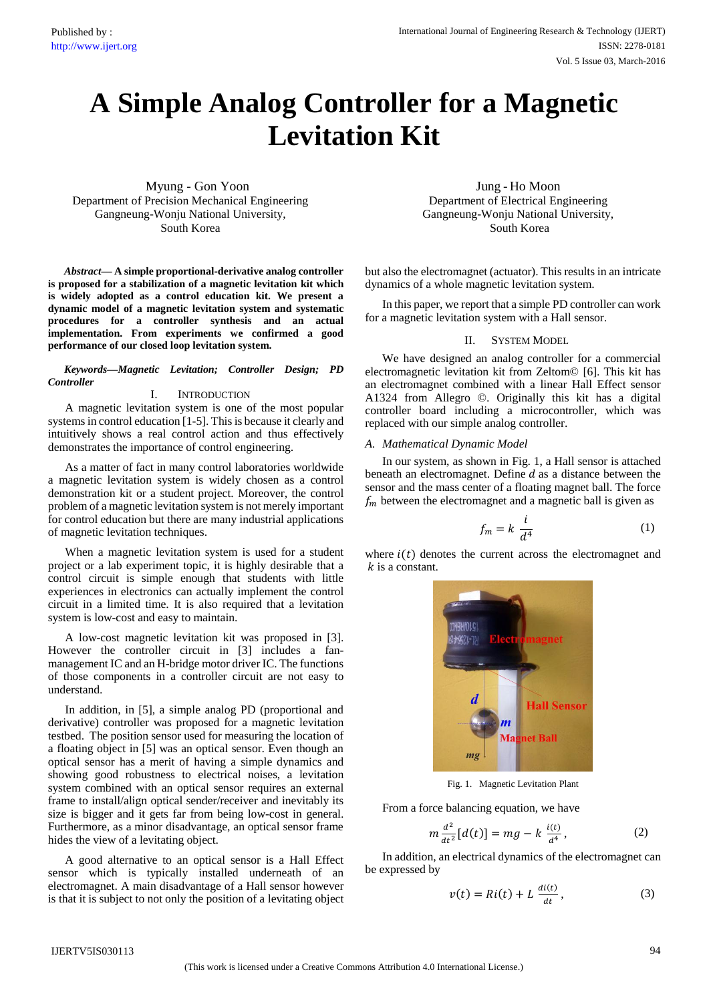# **A Simple Analog Controller for a Magnetic Levitation Kit**

Myung - Gon Yoon Department of Precision Mechanical Engineering Gangneung-Wonju National University, South Korea

*Abstract***— A simple proportional-derivative analog controller is proposed for a stabilization of a magnetic levitation kit which is widely adopted as a control education kit. We present a dynamic model of a magnetic levitation system and systematic procedures for a controller synthesis and an actual implementation. From experiments we confirmed a good performance of our closed loop levitation system.** 

#### *Keywords—Magnetic Levitation; Controller Design; PD Controller*

#### I. INTRODUCTION

A magnetic levitation system is one of the most popular systems in control education [1-5]. This is because it clearly and intuitively shows a real control action and thus effectively demonstrates the importance of control engineering.

As a matter of fact in many control laboratories worldwide a magnetic levitation system is widely chosen as a control demonstration kit or a student project. Moreover, the control problem of a magnetic levitation system is not merely important for control education but there are many industrial applications of magnetic levitation techniques.

When a magnetic levitation system is used for a student project or a lab experiment topic, it is highly desirable that a control circuit is simple enough that students with little experiences in electronics can actually implement the control circuit in a limited time. It is also required that a levitation system is low-cost and easy to maintain.

A low-cost magnetic levitation kit was proposed in [3]. However the controller circuit in [3] includes a fanmanagement IC and an H-bridge motor driver IC. The functions of those components in a controller circuit are not easy to understand.

In addition, in [5], a simple analog PD (proportional and derivative) controller was proposed for a magnetic levitation testbed. The position sensor used for measuring the location of a floating object in [5] was an optical sensor. Even though an optical sensor has a merit of having a simple dynamics and showing good robustness to electrical noises, a levitation system combined with an optical sensor requires an external frame to install/align optical sender/receiver and inevitably its size is bigger and it gets far from being low-cost in general. Furthermore, as a minor disadvantage, an optical sensor frame hides the view of a levitating object.

A good alternative to an optical sensor is a Hall Effect sensor which is typically installed underneath of an electromagnet. A main disadvantage of a Hall sensor however is that it is subject to not only the position of a levitating object

Jung - Ho Moon Department of Electrical Engineering Gangneung-Wonju National University, South Korea

but also the electromagnet (actuator). This results in an intricate dynamics of a whole magnetic levitation system.

In this paper, we report that a simple PD controller can work for a magnetic levitation system with a Hall sensor.

#### II. SYSTEM MODEL

We have designed an analog controller for a commercial electromagnetic levitation kit from Zeltom© [6]. This kit has an electromagnet combined with a linear Hall Effect sensor A1324 from Allegro ©. Originally this kit has a digital controller board including a microcontroller, which was replaced with our simple analog controller.

#### *A. Mathematical Dynamic Model*

In our system, as shown in Fig. 1, a Hall sensor is attached beneath an electromagnet. Define  $d$  as a distance between the sensor and the mass center of a floating magnet ball. The force  $f_m$  between the electromagnet and a magnetic ball is given as

$$
f_m = k \frac{i}{d^4} \tag{1}
$$

where  $i(t)$  denotes the current across the electromagnet and  $k$  is a constant.



Fig. 1. Magnetic Levitation Plant

From a force balancing equation, we have

$$
m\frac{d^{2}}{dt^{2}}[d(t)] = mg - k\frac{i(t)}{d^{4}},
$$
 (2)

In addition, an electrical dynamics of the electromagnet can be expressed by

$$
v(t) = Ri(t) + L \frac{di(t)}{dt},
$$
\n(3)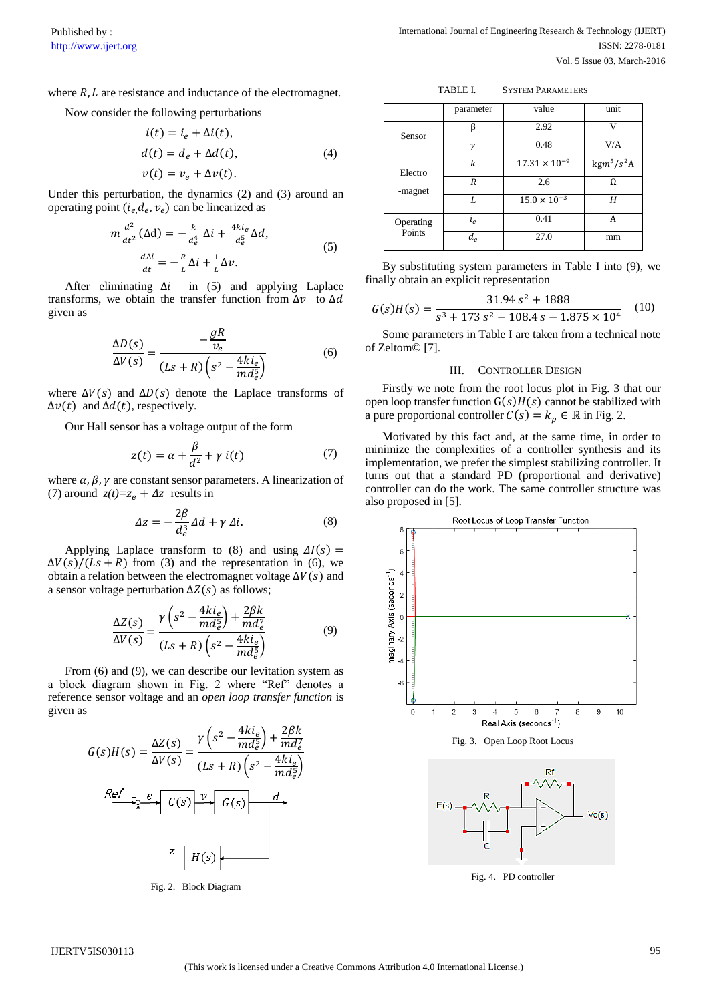where  $R$ ,  $L$  are resistance and inductance of the electromagnet.

Now consider the following perturbations

$$
i(t) = i_e + \Delta i(t),
$$
  
\n
$$
d(t) = d_e + \Delta d(t),
$$
  
\n
$$
v(t) = v_e + \Delta v(t).
$$
\n(4)

Under this perturbation, the dynamics (2) and (3) around an operating point  $(i_e, d_e, v_e)$  can be linearized as

$$
m\frac{d^2}{dt^2}(\Delta d) = -\frac{k}{d_e^4}\Delta i + \frac{4ki_e}{d_e^5}\Delta d,
$$
  

$$
\frac{d\Delta i}{dt} = -\frac{R}{L}\Delta i + \frac{1}{L}\Delta v.
$$
 (5)

After eliminating  $\Delta i$  in (5) and applying Laplace transforms, we obtain the transfer function from  $\Delta v$  to  $\Delta d$ given as

$$
\frac{\Delta D(s)}{\Delta V(s)} = \frac{-\frac{gR}{v_e}}{(Ls + R)\left(s^2 - \frac{4k i_e}{m d_e^2}\right)}\tag{6}
$$

where  $\Delta V(s)$  and  $\Delta D(s)$  denote the Laplace transforms of  $\Delta v(t)$  and  $\Delta d(t)$ , respectively.

Our Hall sensor has a voltage output of the form

$$
z(t) = \alpha + \frac{\beta}{d^2} + \gamma i(t) \tag{7}
$$

where  $\alpha$ ,  $\beta$ ,  $\gamma$  are constant sensor parameters. A linearization of (7) around  $z(t)=z_e + \Delta z$  results in

$$
\Delta z = -\frac{2\beta}{d_e^3} \Delta d + \gamma \Delta i. \tag{8}
$$

Applying Laplace transform to (8) and using  $\Delta I(s)$  =  $\Delta V(s)/(Ls + R)$  from (3) and the representation in (6), we obtain a relation between the electromagnet voltage  $\Delta V(s)$  and a sensor voltage perturbation  $\Delta Z(s)$  as follows;

$$
\frac{\Delta Z(s)}{\Delta V(s)} = \frac{\gamma \left(s^2 - \frac{4k i_e}{m d_e^5}\right) + \frac{2\beta k}{m d_e^7}}{(Ls + R) \left(s^2 - \frac{4k i_e}{m d_e^5}\right)}\tag{9}
$$

From (6) and (9), we can describe our levitation system as a block diagram shown in Fig. 2 where "Ref" denotes a reference sensor voltage and an *open loop transfer function* is given as



Fig. 2. Block Diagram

TABLE I. SYSTEM PARAMETERS

|                     | parameter     | value                  | unit                           |
|---------------------|---------------|------------------------|--------------------------------|
| Sensor              | R             | 2.92                   | v                              |
|                     | $\mathcal{U}$ | 0.48                   | V/A                            |
| Electro<br>-magnet  | k             | $17.31 \times 10^{-9}$ | $\frac{1}{\text{kg}m^5}{s^2A}$ |
|                     | R             | 2.6                    | Ω                              |
|                     | L             | $15.0 \times 10^{-3}$  | Н                              |
| Operating<br>Points | $i_e$         | 0.41                   | А                              |
|                     | d,            | 27.0                   | mm                             |

By substituting system parameters in Table I into (9), we finally obtain an explicit representation

$$
G(s)H(s) = \frac{31.94 s^2 + 1888}{s^3 + 173 s^2 - 108.4 s - 1.875 \times 10^4}
$$
 (10)

Some parameters in Table I are taken from a technical note of Zeltom© [7].

### III. CONTROLLER DESIGN

Firstly we note from the root locus plot in Fig. 3 that our open loop transfer function  $G(s)H(s)$  cannot be stabilized with a pure proportional controller  $C(s) = k_p \in \mathbb{R}$  in Fig. 2.

Motivated by this fact and, at the same time, in order to minimize the complexities of a controller synthesis and its implementation, we prefer the simplest stabilizing controller. It turns out that a standard PD (proportional and derivative) controller can do the work. The same controller structure was also proposed in [5].



Fig. 4. PD controller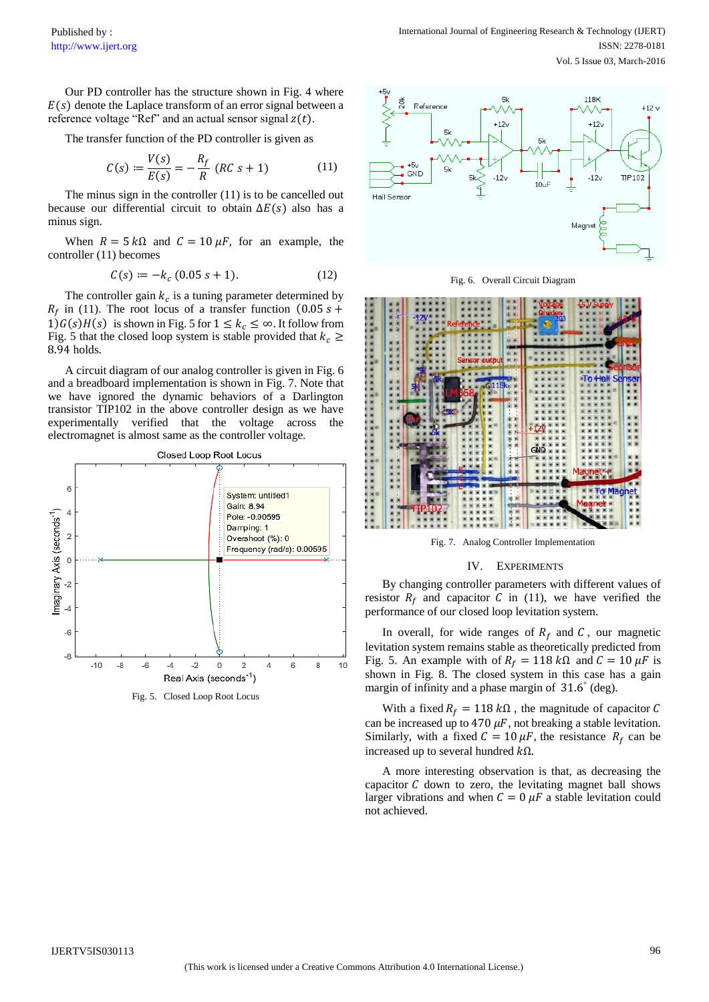Our PD controller has the structure shown in Fig. 4 where  $E(s)$  denote the Laplace transform of an error signal between a reference voltage "Ref" and an actual sensor signal  $z(t)$ .

The transfer function of the PD controller is given as

$$
C(s) := \frac{V(s)}{E(s)} = -\frac{R_f}{R} \left( RC \ s + 1 \right) \tag{11}
$$

The minus sign in the controller (11) is to be cancelled out because our differential circuit to obtain  $\Delta E(s)$  also has a minus sign.

When  $R = 5 k\Omega$  and  $C = 10 \mu F$ , for an example, the controller (11) becomes

$$
C(s) := -k_c (0.05 s + 1). \tag{12}
$$

The controller gain  $k_c$  is a tuning parameter determined by  $R_f$  in (11). The root locus of a transfer function (0.05 s +  $1)G(s)H(s)$  is shown in Fig. 5 for  $1 \leq k_c \leq \infty$ . It follow from Fig. 5 that the closed loop system is stable provided that  $k_c \geq$ 8.94 holds.

A circuit diagram of our analog controller is given in Fig. 6 and a breadboard implementation is shown in Fig. 7. Note that we have ignored the dynamic behaviors of a Darlington transistor TIP102 in the above controller design as we have experimentally verified that the voltage across the electromagnet is almost same as the controller voltage.



Fig. 5. Closed Loop Root Locus



Fig. 6. Overall Circuit Diagram



Fig. 7. Analog Controller Implementation

#### IV. EXPERIMENTS

By changing controller parameters with different values of resistor  $R_f$  and capacitor C in (11), we have verified the performance of our closed loop levitation system.

In overall, for wide ranges of  $R_f$  and  $C$ , our magnetic levitation system remains stable as theoretically predicted from Fig. 5. An example with of  $R_f = 118 k\Omega$  and  $C = 10 \mu F$  is shown in Fig. 8. The closed system in this case has a gain margin of infinity and a phase margin of 31.6° (deg).

With a fixed  $R_f = 118 k\Omega$ , the magnitude of capacitor C can be increased up to 470  $\mu$ F, not breaking a stable levitation. Similarly, with a fixed  $C = 10 \mu F$ , the resistance  $R_f$  can be increased up to several hundred  $kΩ$ .

A more interesting observation is that, as decreasing the capacitor  $C$  down to zero, the levitating magnet ball shows larger vibrations and when  $C = 0 \mu F$  a stable levitation could not achieved.